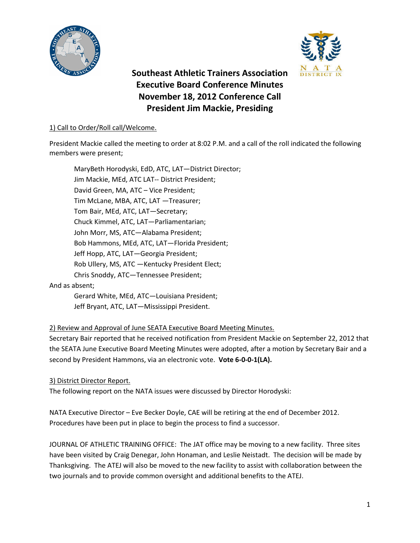



# **Southeast Athletic Trainers Association Executive Board Conference Minutes November 18, 2012 Conference Call President Jim Mackie, Presiding**

# 1) Call to Order/Roll call/Welcome.

President Mackie called the meeting to order at 8:02 P.M. and a call of the roll indicated the following members were present;

MaryBeth Horodyski, EdD, ATC, LAT—District Director; Jim Mackie, MEd, ATC LAT-- District President; David Green, MA, ATC – Vice President; Tim McLane, MBA, ATC, LAT —Treasurer; Tom Bair, MEd, ATC, LAT—Secretary; Chuck Kimmel, ATC, LAT—Parliamentarian; John Morr, MS, ATC—Alabama President; Bob Hammons, MEd, ATC, LAT—Florida President; Jeff Hopp, ATC, LAT—Georgia President; Rob Ullery, MS, ATC —Kentucky President Elect; Chris Snoddy, ATC—Tennessee President; Gerard White, MEd, ATC—Louisiana President;

# And as absent;

Jeff Bryant, ATC, LAT—Mississippi President.

# 2) Review and Approval of June SEATA Executive Board Meeting Minutes.

Secretary Bair reported that he received notification from President Mackie on September 22, 2012 that the SEATA June Executive Board Meeting Minutes were adopted, after a motion by Secretary Bair and a second by President Hammons, via an electronic vote. **Vote 6-0-0-1(LA).**

3) District Director Report.

The following report on the NATA issues were discussed by Director Horodyski:

NATA Executive Director – Eve Becker Doyle, CAE will be retiring at the end of December 2012. Procedures have been put in place to begin the process to find a successor.

JOURNAL OF ATHLETIC TRAINING OFFICE: The JAT office may be moving to a new facility. Three sites have been visited by Craig Denegar, John Honaman, and Leslie Neistadt. The decision will be made by Thanksgiving. The ATEJ will also be moved to the new facility to assist with collaboration between the two journals and to provide common oversight and additional benefits to the ATEJ.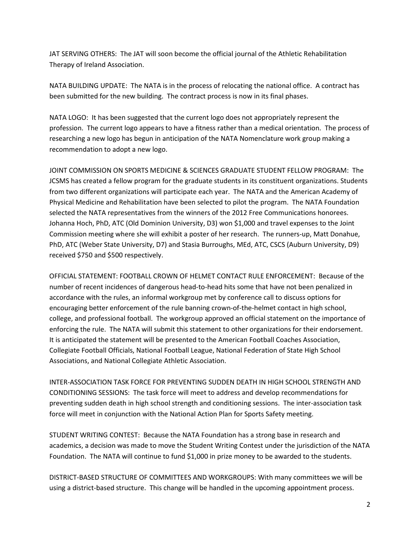JAT SERVING OTHERS: The JAT will soon become the official journal of the Athletic Rehabilitation Therapy of Ireland Association.

NATA BUILDING UPDATE: The NATA is in the process of relocating the national office. A contract has been submitted for the new building. The contract process is now in its final phases.

NATA LOGO: It has been suggested that the current logo does not appropriately represent the profession. The current logo appears to have a fitness rather than a medical orientation. The process of researching a new logo has begun in anticipation of the NATA Nomenclature work group making a recommendation to adopt a new logo.

JOINT COMMISSION ON SPORTS MEDICINE & SCIENCES GRADUATE STUDENT FELLOW PROGRAM: The JCSMS has created a fellow program for the graduate students in its constituent organizations. Students from two different organizations will participate each year. The NATA and the American Academy of Physical Medicine and Rehabilitation have been selected to pilot the program. The NATA Foundation selected the NATA representatives from the winners of the 2012 Free Communications honorees. Johanna Hoch, PhD, ATC (Old Dominion University, D3) won \$1,000 and travel expenses to the Joint Commission meeting where she will exhibit a poster of her research. The runners-up, Matt Donahue, PhD, ATC (Weber State University, D7) and Stasia Burroughs, MEd, ATC, CSCS (Auburn University, D9) received \$750 and \$500 respectively.

OFFICIAL STATEMENT: FOOTBALL CROWN OF HELMET CONTACT RULE ENFORCEMENT: Because of the number of recent incidences of dangerous head-to-head hits some that have not been penalized in accordance with the rules, an informal workgroup met by conference call to discuss options for encouraging better enforcement of the rule banning crown-of-the-helmet contact in high school, college, and professional football. The workgroup approved an official statement on the importance of enforcing the rule. The NATA will submit this statement to other organizations for their endorsement. It is anticipated the statement will be presented to the American Football Coaches Association, Collegiate Football Officials, National Football League, National Federation of State High School Associations, and National Collegiate Athletic Association.

INTER-ASSOCIATION TASK FORCE FOR PREVENTING SUDDEN DEATH IN HIGH SCHOOL STRENGTH AND CONDITIONING SESSIONS: The task force will meet to address and develop recommendations for preventing sudden death in high school strength and conditioning sessions. The inter-association task force will meet in conjunction with the National Action Plan for Sports Safety meeting.

STUDENT WRITING CONTEST: Because the NATA Foundation has a strong base in research and academics, a decision was made to move the Student Writing Contest under the jurisdiction of the NATA Foundation. The NATA will continue to fund \$1,000 in prize money to be awarded to the students.

DISTRICT-BASED STRUCTURE OF COMMITTEES AND WORKGROUPS: With many committees we will be using a district-based structure. This change will be handled in the upcoming appointment process.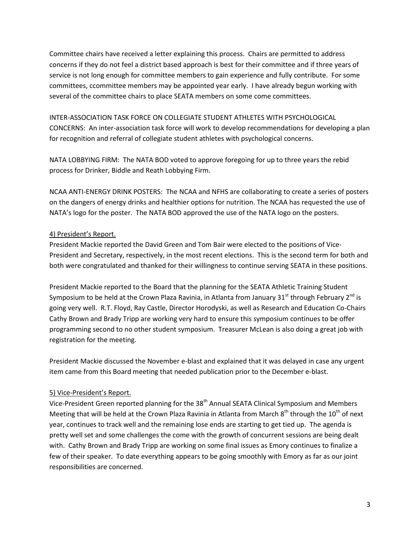Committee chairs have received a letter explaining this process. Chairs are permitted to address concerns if they do not feel a district based approach is best for their committee and if three years of service is not long enough for committee members to gain experience and fully contribute. For some committees, ccommittee members may be appointed year early. I have already begun working with several of the committee chairs to place SEATA members on some come committees.

INTER-ASSOCIATION TASK FORCE ON COLLEGIATE STUDENT ATHLETES WITH PSYCHOLOGICAL CONCERNS: An inter-association task force will work to develop recommendations for developing a plan for recognition and referral of collegiate student athletes with psychological concerns.

NATA LOBBYING FIRM: The NATA BOD voted to approve foregoing for up to three years the rebid process for Drinker, Biddle and Reath Lobbying Firm.

NCAA ANTI-ENERGY DRINK POSTERS: The NCAA and NFHS are collaborating to create a series of posters on the dangers of energy drinks and healthier options for nutrition. The NCAA has requested the use of NATA's logo for the poster. The NATA BOD approved the use of the NATA logo on the posters.

# 4) President's Report.

President Mackie reported the David Green and Tom Bair were elected to the positions of Vice-President and Secretary, respectively, in the most recent elections. This is the second term for both and both were congratulated and thanked for their willingness to continue serving SEATA in these positions.

President Mackie reported to the Board that the planning for the SEATA Athletic Training Student Symposium to be held at the Crown Plaza Ravinia, in Atlanta from January 31<sup>st</sup> through February 2<sup>nd</sup> is going very well. R.T. Floyd, Ray Castle, Director Horodyski, as well as Research and Education Co-Chairs Cathy Brown and Brady Tripp are working very hard to ensure this symposium continues to be offer programming second to no other student symposium. Treasurer McLean is also doing a great job with registration for the meeting.

President Mackie discussed the November e-blast and explained that it was delayed in case any urgent item came from this Board meeting that needed publication prior to the December e-blast.

# 5) Vice-President's Report.

Vice-President Green reported planning for the 38<sup>th</sup> Annual SEATA Clinical Symposium and Members Meeting that will be held at the Crown Plaza Ravinia in Atlanta from March  $8<sup>th</sup>$  through the 10<sup>th</sup> of next year, continues to track well and the remaining lose ends are starting to get tied up. The agenda is pretty well set and some challenges the come with the growth of concurrent sessions are being dealt with. Cathy Brown and Brady Tripp are working on some final issues as Emory continues to finalize a few of their speaker. To date everything appears to be going smoothly with Emory as far as our joint responsibilities are concerned.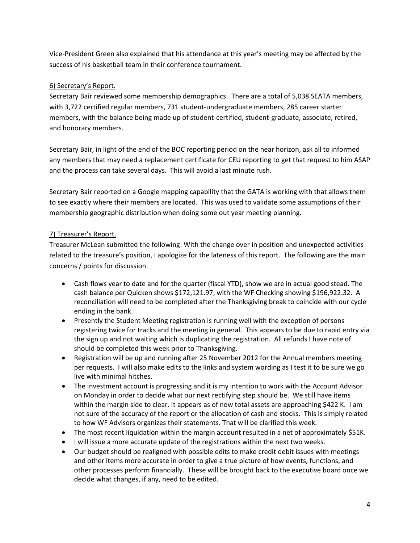Vice-President Green also explained that his attendance at this year's meeting may be affected by the success of his basketball team in their conference tournament.

# 6) Secretary's Report.

Secretary Bair reviewed some membership demographics. There are a total of 5,038 SEATA members, with 3,722 certified regular members, 731 student-undergraduate members, 285 career starter members, with the balance being made up of student-certified, student-graduate, associate, retired, and honorary members.

Secretary Bair, in light of the end of the BOC reporting period on the near horizon, ask all to informed any members that may need a replacement certificate for CEU reporting to get that request to him ASAP and the process can take several days. This will avoid a last minute rush.

Secretary Bair reported on a Google mapping capability that the GATA is working with that allows them to see exactly where their members are located. This was used to validate some assumptions of their membership geographic distribution when doing some out year meeting planning.

# 7) Treasurer's Report.

Treasurer McLean submitted the following: With the change over in position and unexpected activities related to the treasure's position, I apologize for the lateness of this report. The following are the main concerns / points for discussion.

- Cash flows year to date and for the quarter (fiscal YTD), show we are in actual good stead. The cash balance per Quicken shows \$172,121.97, with the WF Checking showing \$196,922.32. A reconciliation will need to be completed after the Thanksgiving break to coincide with our cycle ending in the bank.
- Presently the Student Meeting registration is running well with the exception of persons registering twice for tracks and the meeting in general. This appears to be due to rapid entry via the sign up and not waiting which is duplicating the registration. All refunds I have note of should be completed this week prior to Thanksgiving.
- Registration will be up and running after 25 November 2012 for the Annual members meeting per requests. I will also make edits to the links and system wording as I test it to be sure we go live with minimal hitches.
- The investment account is progressing and it is my intention to work with the Account Advisor on Monday in order to decide what our next rectifying step should be. We still have items within the margin side to clear. It appears as of now total assets are approaching \$422 K. I am not sure of the accuracy of the report or the allocation of cash and stocks. This is simply related to how WF Advisors organizes their statements. That will be clarified this week.
- The most recent liquidation within the margin account resulted in a net of approximately \$51K.
- I will issue a more accurate update of the registrations within the next two weeks.
- Our budget should be realigned with possible edits to make credit debit issues with meetings and other items more accurate in order to give a true picture of how events, functions, and other processes perform financially. These will be brought back to the executive board once we decide what changes, if any, need to be edited.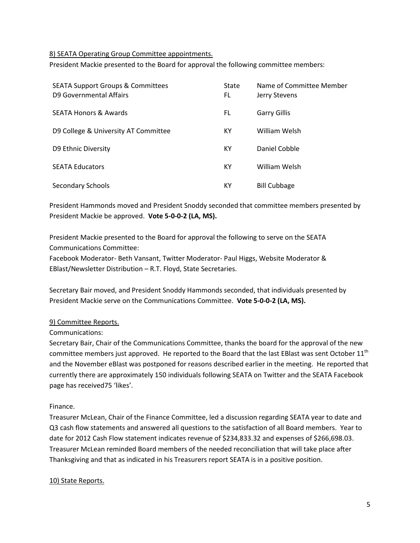#### 8) SEATA Operating Group Committee appointments.

President Mackie presented to the Board for approval the following committee members:

| <b>SEATA Support Groups &amp; Committees</b><br>D <sub>9</sub> Governmental Affairs | State<br>FL. | Name of Committee Member<br>Jerry Stevens |
|-------------------------------------------------------------------------------------|--------------|-------------------------------------------|
| <b>SEATA Honors &amp; Awards</b>                                                    | FL.          | <b>Garry Gillis</b>                       |
| D9 College & University AT Committee                                                | КY           | William Welsh                             |
| D9 Ethnic Diversity                                                                 | КY           | Daniel Cobble                             |
| <b>SEATA Educators</b>                                                              | КY           | William Welsh                             |
| Secondary Schools                                                                   | КY           | <b>Bill Cubbage</b>                       |

President Hammonds moved and President Snoddy seconded that committee members presented by President Mackie be approved. **Vote 5-0-0-2 (LA, MS).**

President Mackie presented to the Board for approval the following to serve on the SEATA Communications Committee:

Facebook Moderator- Beth Vansant, Twitter Moderator- Paul Higgs, Website Moderator & EBlast/Newsletter Distribution – R.T. Floyd, State Secretaries.

Secretary Bair moved, and President Snoddy Hammonds seconded, that individuals presented by President Mackie serve on the Communications Committee. **Vote 5-0-0-2 (LA, MS).**

# 9) Committee Reports.

Communications:

Secretary Bair, Chair of the Communications Committee, thanks the board for the approval of the new committee members just approved. He reported to the Board that the last EBlast was sent October  $11<sup>th</sup>$ and the November eBlast was postponed for reasons described earlier in the meeting. He reported that currently there are approximately 150 individuals following SEATA on Twitter and the SEATA Facebook page has received75 'likes'.

# Finance.

Treasurer McLean, Chair of the Finance Committee, led a discussion regarding SEATA year to date and Q3 cash flow statements and answered all questions to the satisfaction of all Board members. Year to date for 2012 Cash Flow statement indicates revenue of \$234,833.32 and expenses of \$266,698.03. Treasurer McLean reminded Board members of the needed reconciliation that will take place after Thanksgiving and that as indicated in his Treasurers report SEATA is in a positive position.

#### 10) State Reports.